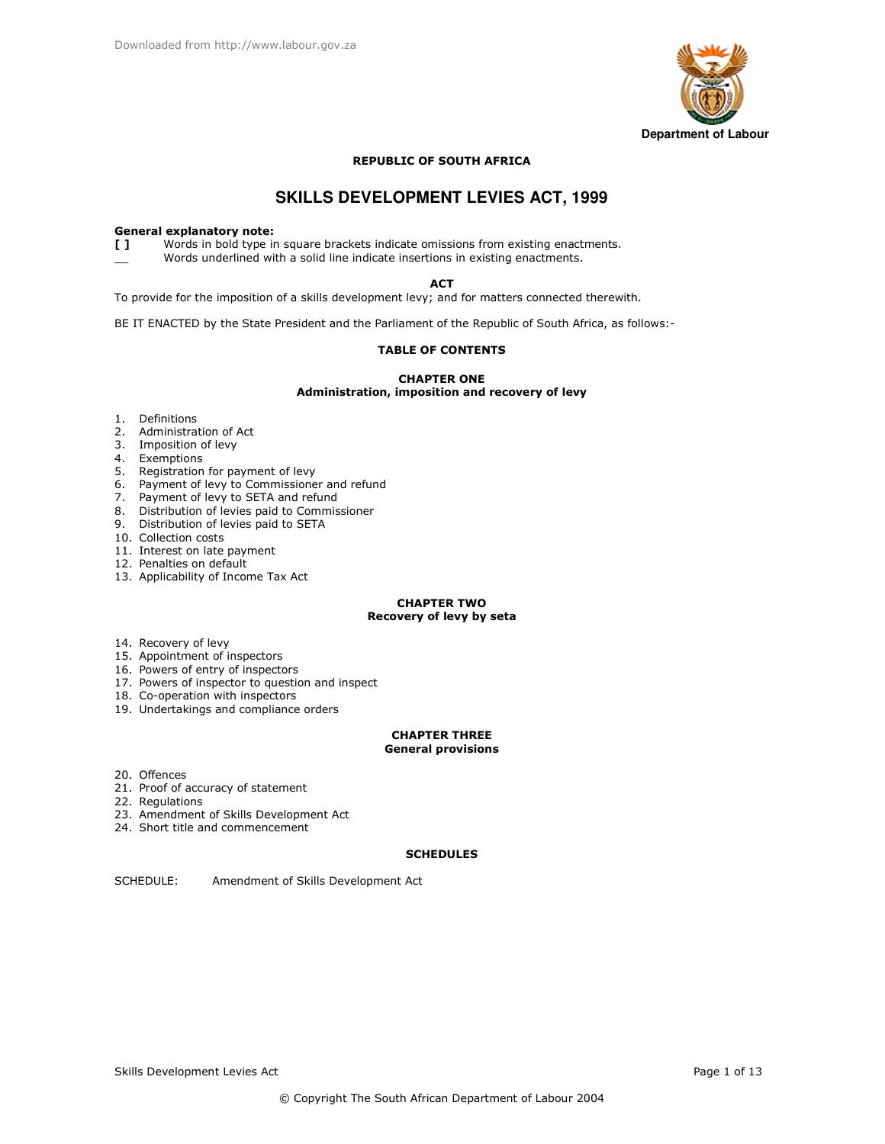

### **REPUBLIC OF SOUTH AFRICA**

# **SKILLS DEVELOPMENT LEVIES ACT, 1999**

### **General explanatory note:**

 $\mathbf{L}$ Words in bold type in square brackets indicate omissions from existing enactments. Words underlined with a solid line indicate insertions in existing enactments.

**ACT** 

To provide for the imposition of a skills development levy; and for matters connected therewith.

BE IT ENACTED by the State President and the Parliament of the Republic of South Africa, as follows:-

## **TABLE OF CONTENTS**

**CHAPTER ONE** Administration, imposition and recovery of levy

- 1. Definitions
- 2. Administration of Act
- 3. Imposition of levy
- 
- 4. Exemptions<br>5. Registration for payment of levy
- 6. Payment of levy to Commissioner and refund
- 7. Payment of levy to SETA and refund<br>8. Distribution of levies paid to Commissioner
- 
- 9. Distribution of levies paid to SETA
- 10. Collection costs
- 11. Interest on late payment
- 12. Penalties on default
- 13. Applicability of Income Tax Act

### **CHAPTER TWO** Recovery of levy by seta

- 14. Recovery of levy
- 15. Appointment of inspectors
- 16. Powers of entry of inspectors
- 17. Powers of inspector to question and inspect
- 18. Co-operation with inspectors
- 19. Undertakings and compliance orders

### **CHAPTER THREE General provisions**

- 20. Offences
- 21. Proof of accuracy of statement
- 22. Regulations
- 23. Amendment of Skills Development Act
- 24. Short title and commencement

### **SCHEDULES**

SCHEDULE: Amendment of Skills Development Act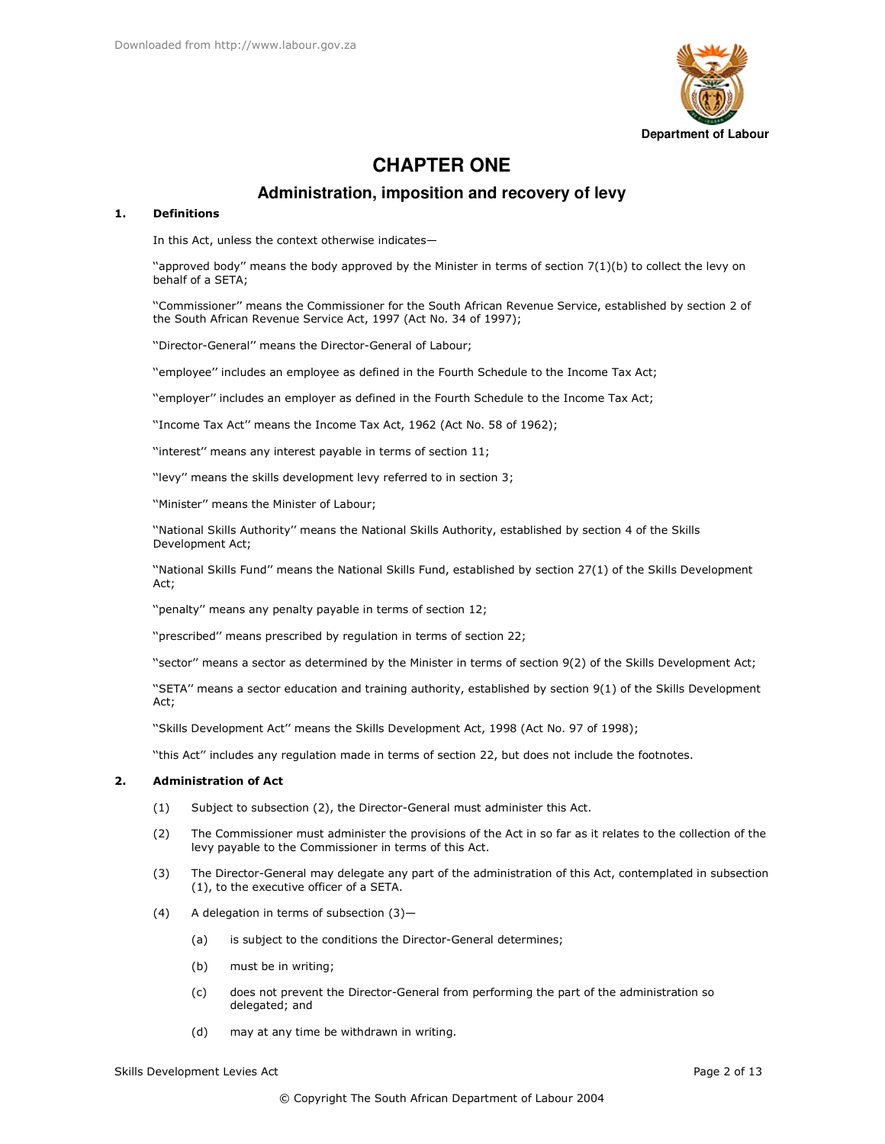

# **CHAPTER ONE**

# Administration, imposition and recovery of levy

#### **Definitions**  $\mathbf{1}$ .

In this Act, unless the context otherwise indicates-

"approved body" means the body approved by the Minister in terms of section  $7(1)(b)$  to collect the levy on behalf of a SETA;

"Commissioner" means the Commissioner for the South African Revenue Service, established by section 2 of the South African Revenue Service Act, 1997 (Act No. 34 of 1997);

"Director-General" means the Director-General of Labour;

"employee" includes an employee as defined in the Fourth Schedule to the Income Tax Act;

"employer" includes an employer as defined in the Fourth Schedule to the Income Tax Act;

"Income Tax Act" means the Income Tax Act, 1962 (Act No. 58 of 1962);

"interest" means any interest payable in terms of section 11;

"levy" means the skills development levy referred to in section 3;

"Minister" means the Minister of Labour:

"National Skills Authority" means the National Skills Authority, established by section 4 of the Skills Development Act;

"National Skills Fund" means the National Skills Fund, established by section 27(1) of the Skills Development Act;

"penalty" means any penalty payable in terms of section 12;

"prescribed" means prescribed by regulation in terms of section 22;

"sector" means a sector as determined by the Minister in terms of section 9(2) of the Skills Development Act;

"SETA" means a sector education and training authority, established by section 9(1) of the Skills Development Act:

"Skills Development Act" means the Skills Development Act, 1998 (Act No. 97 of 1998);

"this Act" includes any regulation made in terms of section 22, but does not include the footnotes.

#### $2.$ **Administration of Act**

- $(1)$ Subject to subsection (2), the Director-General must administer this Act.
- $(2)$ The Commissioner must administer the provisions of the Act in so far as it relates to the collection of the levy payable to the Commissioner in terms of this Act.
- $(3)$ The Director-General may delegate any part of the administration of this Act, contemplated in subsection (1), to the executive officer of a SETA.
- $(4)$ A delegation in terms of subsection (3)
	- is subject to the conditions the Director-General determines;  $(a)$
	- $(b)$ must be in writing;
	- does not prevent the Director-General from performing the part of the administration so  $(c)$ delegated; and
	- may at any time be withdrawn in writing.  $(d)$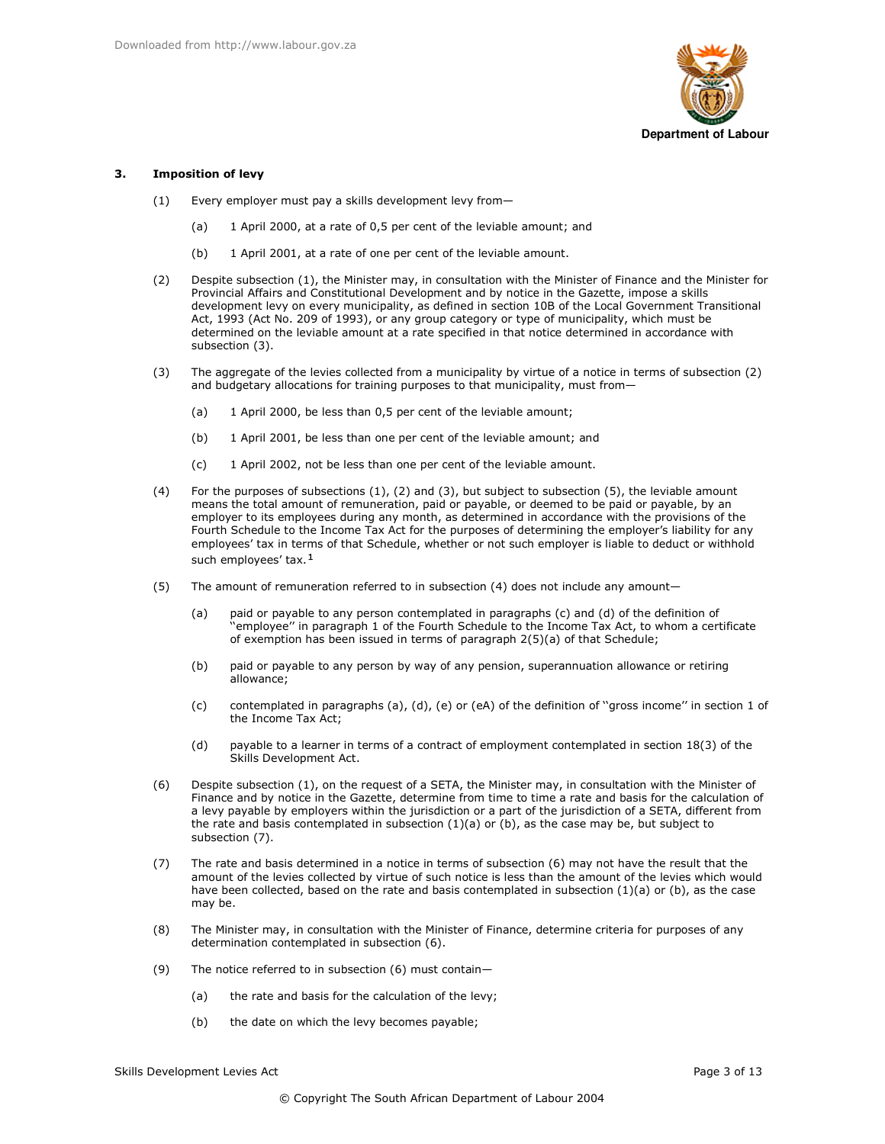

#### $\mathbf{z}$ **Imposition of levy**

- $(1)$ Every employer must pay a skills development levy from-
	- 1 April 2000, at a rate of 0,5 per cent of the leviable amount; and  $(a)$
	- $(b)$ 1 April 2001, at a rate of one per cent of the leviable amount.
- $(2)$ Despite subsection (1), the Minister may, in consultation with the Minister of Finance and the Minister for Provincial Affairs and Constitutional Development and by notice in the Gazette, impose a skills development levy on every municipality, as defined in section 10B of the Local Government Transitional Act, 1993 (Act No. 209 of 1993), or any group category or type of municipality, which must be determined on the leviable amount at a rate specified in that notice determined in accordance with subsection (3).
- The aggregate of the levies collected from a municipality by virtue of a notice in terms of subsection (2)  $(3)$ and budgetary allocations for training purposes to that municipality, must from-
	- 1 April 2000, be less than 0,5 per cent of the leviable amount;  $(a)$
	- $(b)$ 1 April 2001, be less than one per cent of the leviable amount; and
	- $(c)$ 1 April 2002, not be less than one per cent of the leviable amount.
- $(4)$ For the purposes of subsections  $(1)$ ,  $(2)$  and  $(3)$ , but subject to subsection  $(5)$ , the leviable amount means the total amount of remuneration, paid or payable, or deemed to be paid or payable, by an employer to its employees during any month, as determined in accordance with the provisions of the Fourth Schedule to the Income Tax Act for the purposes of determining the employer's liability for any employees' tax in terms of that Schedule, whether or not such employer is liable to deduct or withhold such employees' tax.<sup>1</sup>
- $(5)$ The amount of remuneration referred to in subsection (4) does not include any amount
	- paid or payable to any person contemplated in paragraphs (c) and (d) of the definition of  $(a)$ 'employee" in paragraph 1 of the Fourth Schedule to the Income Tax Act, to whom a certificate of exemption has been issued in terms of paragraph  $2(5)(a)$  of that Schedule;
	- $(b)$ paid or payable to any person by way of any pension, superannuation allowance or retiring allowance;
	- contemplated in paragraphs (a), (d), (e) or (eA) of the definition of "gross income" in section 1 of  $(c)$ the Income Tax Act:
	- $(d)$ payable to a learner in terms of a contract of employment contemplated in section 18(3) of the Skills Development Act.
- $(6)$ Despite subsection (1), on the request of a SETA, the Minister may, in consultation with the Minister of Finance and by notice in the Gazette, determine from time to time a rate and basis for the calculation of a levy payable by employers within the jurisdiction or a part of the jurisdiction of a SETA, different from the rate and basis contemplated in subsection  $(1)(a)$  or  $(b)$ , as the case may be, but subject to subsection (7).
- The rate and basis determined in a notice in terms of subsection (6) may not have the result that the  $(7)$ amount of the levies collected by virtue of such notice is less than the amount of the levies which would have been collected, based on the rate and basis contemplated in subsection  $(1)(a)$  or  $(b)$ , as the case may be.
- $(8)$ The Minister may, in consultation with the Minister of Finance, determine criteria for purposes of any determination contemplated in subsection (6).
- $(9)$ The notice referred to in subsection (6) must contain
	- the rate and basis for the calculation of the levy;  $(a)$
	- $(b)$ the date on which the levy becomes payable;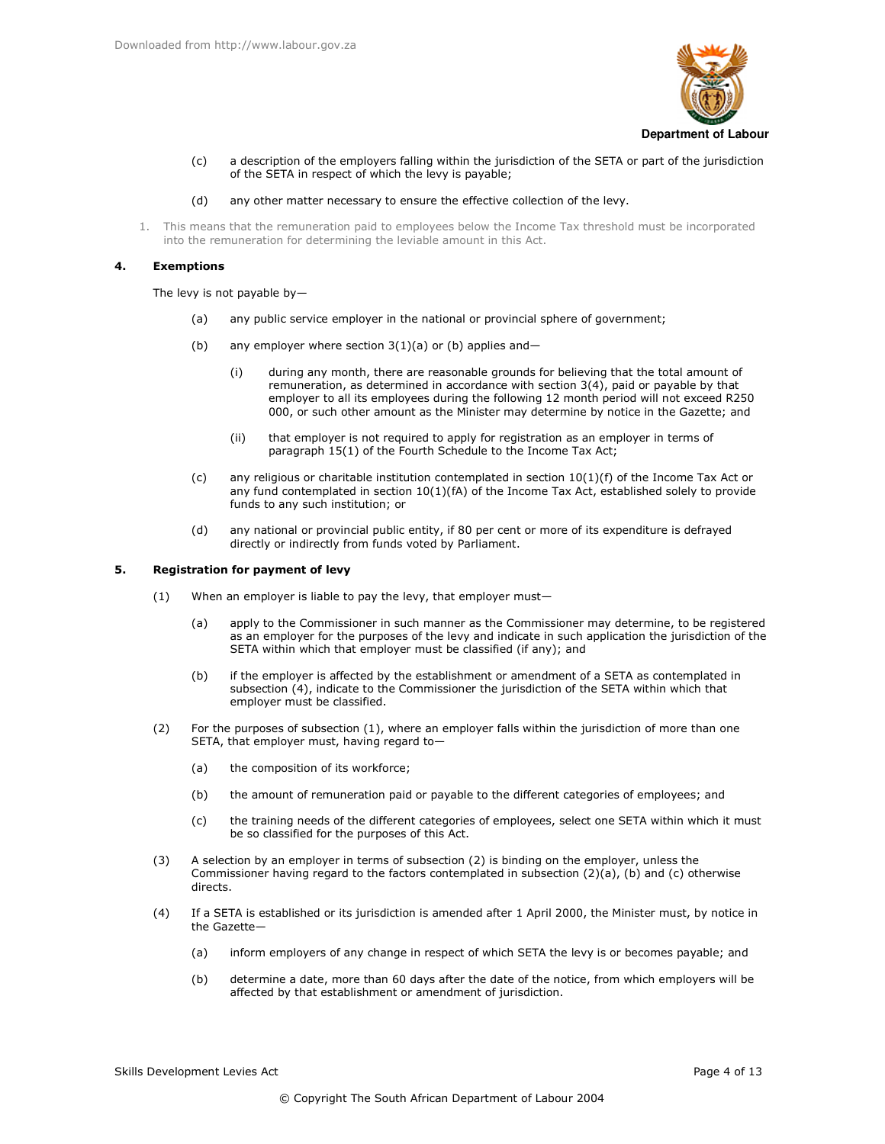

a description of the employers falling within the jurisdiction of the SETA or part of the jurisdiction  $(c)$ of the SETA in respect of which the levy is payable;

#### any other matter necessary to ensure the effective collection of the levy.  $(d)$

1. This means that the remuneration paid to employees below the Income Tax threshold must be incorporated into the remuneration for determining the leviable amount in this Act.

#### 4. **Exemptions**

The levy is not payable by-

- any public service employer in the national or provincial sphere of government;  $(a)$
- $(b)$ any employer where section  $3(1)(a)$  or (b) applies and-
	- $(i)$ during any month, there are reasonable grounds for believing that the total amount of remuneration, as determined in accordance with section 3(4), paid or payable by that employer to all its employees during the following 12 month period will not exceed R250 000, or such other amount as the Minister may determine by notice in the Gazette; and
	- that employer is not required to apply for registration as an employer in terms of  $(ii)$ paragraph 15(1) of the Fourth Schedule to the Income Tax Act;
- any religious or charitable institution contemplated in section  $10(1)(f)$  of the Income Tax Act or  $(c)$ any fund contemplated in section 10(1)(fA) of the Income Tax Act, established solely to provide funds to any such institution; or
- $(d)$ any national or provincial public entity, if 80 per cent or more of its expenditure is defrayed directly or indirectly from funds voted by Parliament.

#### 5. **Registration for payment of levy**

- $(1)$ When an employer is liable to pay the levy, that employer must
	- apply to the Commissioner in such manner as the Commissioner may determine, to be registered (a) as an employer for the purposes of the levy and indicate in such application the jurisdiction of the SETA within which that employer must be classified (if any); and
	- $(b)$ if the employer is affected by the establishment or amendment of a SETA as contemplated in subsection (4), indicate to the Commissioner the jurisdiction of the SETA within which that emplover must be classified.
- $(2)$ For the purposes of subsection (1), where an employer falls within the jurisdiction of more than one SETA, that employer must, having regard to-
	- $(a)$ the composition of its workforce;
	- the amount of remuneration paid or payable to the different categories of employees; and  $(b)$
	- the training needs of the different categories of employees, select one SETA within which it must  $(c)$ be so classified for the purposes of this Act.
- A selection by an employer in terms of subsection (2) is binding on the employer, unless the  $(3)$ Commissioner having regard to the factors contemplated in subsection (2)(a), (b) and (c) otherwise directs.
- $(4)$ If a SETA is established or its jurisdiction is amended after 1 April 2000, the Minister must, by notice in the Gazette-
	- $(a)$ inform employers of any change in respect of which SETA the levy is or becomes payable; and
	- determine a date, more than 60 days after the date of the notice, from which employers will be  $(b)$ affected by that establishment or amendment of jurisdiction.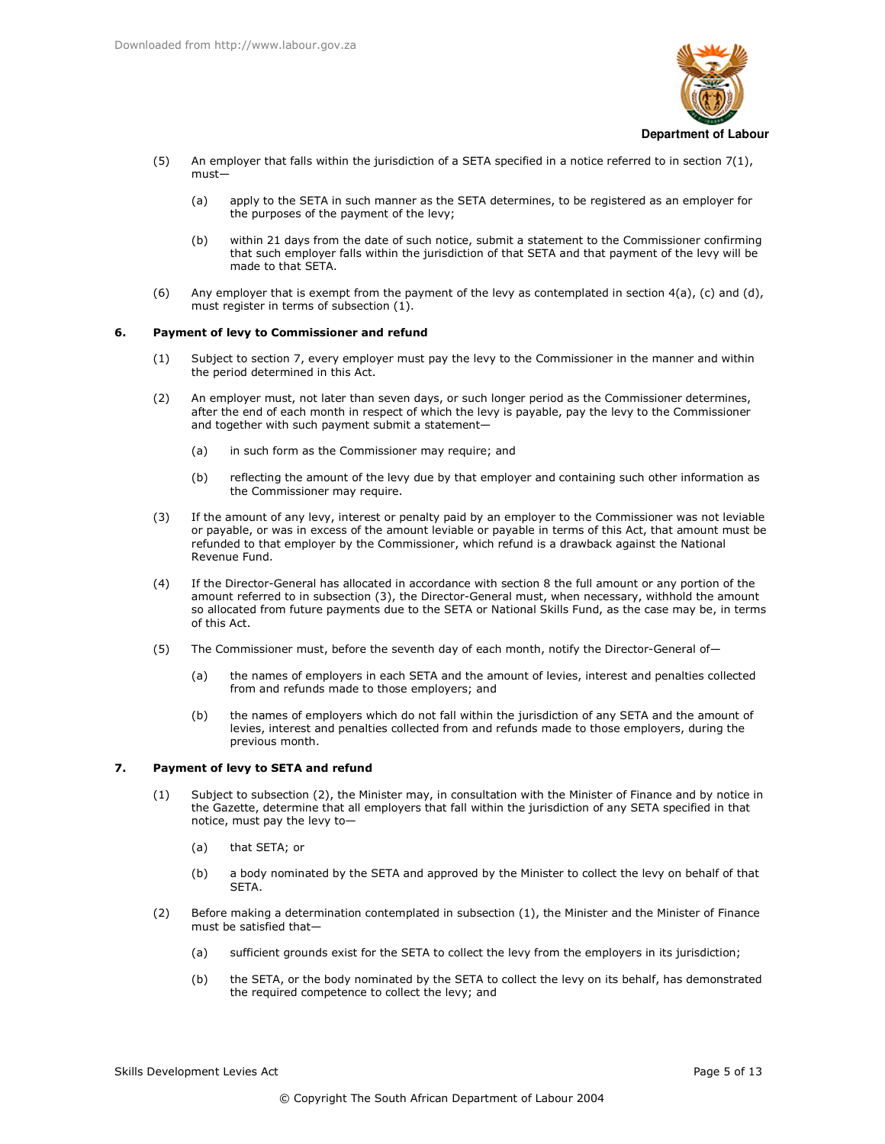

- $(5)$ An employer that falls within the jurisdiction of a SETA specified in a notice referred to in section  $7(1)$ ,  $must$ 
	- apply to the SETA in such manner as the SETA determines, to be registered as an employer for  $(a)$ the purposes of the payment of the levy;
	- within 21 days from the date of such notice, submit a statement to the Commissioner confirming  $(b)$ that such employer falls within the jurisdiction of that SETA and that payment of the levy will be made to that SETA.
- $(6)$ Any employer that is exempt from the payment of the levy as contemplated in section  $4(a)$ , (c) and (d), must register in terms of subsection (1).

#### 6. Payment of levy to Commissioner and refund

- Subject to section 7, every employer must pay the levy to the Commissioner in the manner and within  $(1)$ the period determined in this Act.
- $(2)$ An employer must, not later than seven days, or such longer period as the Commissioner determines, after the end of each month in respect of which the levy is payable, pay the levy to the Commissioner and together with such payment submit a statement-
	- $(a)$ in such form as the Commissioner may require; and
	- $(b)$ reflecting the amount of the levy due by that employer and containing such other information as the Commissioner may require.
- If the amount of any levy, interest or penalty paid by an employer to the Commissioner was not leviable  $(3)$ or payable, or was in excess of the amount leviable or payable in terms of this Act, that amount must be refunded to that employer by the Commissioner, which refund is a drawback against the National Revenue Fund.
- $(4)$ If the Director-General has allocated in accordance with section 8 the full amount or any portion of the amount referred to in subsection (3), the Director-General must, when necessary, withhold the amount so allocated from future payments due to the SETA or National Skills Fund, as the case may be, in terms of this Act.
- $(5)$ The Commissioner must, before the seventh day of each month, notify the Director-General of-
	- $(a)$ the names of employers in each SETA and the amount of levies, interest and penalties collected from and refunds made to those employers; and
	- the names of employers which do not fall within the jurisdiction of any SETA and the amount of  $(b)$ levies, interest and penalties collected from and refunds made to those employers, during the previous month.

#### $\overline{ }$ Payment of levy to SETA and refund

- Subject to subsection (2), the Minister may, in consultation with the Minister of Finance and by notice in  $(1)$ the Gazette, determine that all employers that fall within the jurisdiction of any SETA specified in that notice, must pay the levy to-
	- $(a)$ that SETA; or
	- $(b)$ a body nominated by the SETA and approved by the Minister to collect the levy on behalf of that **SFTA**
- $(2)$ Before making a determination contemplated in subsection (1), the Minister and the Minister of Finance must be satisfied that
	- sufficient grounds exist for the SETA to collect the levy from the employers in its jurisdiction;  $(a)$
	- the SETA, or the body nominated by the SETA to collect the levy on its behalf, has demonstrated  $(b)$ the required competence to collect the levy; and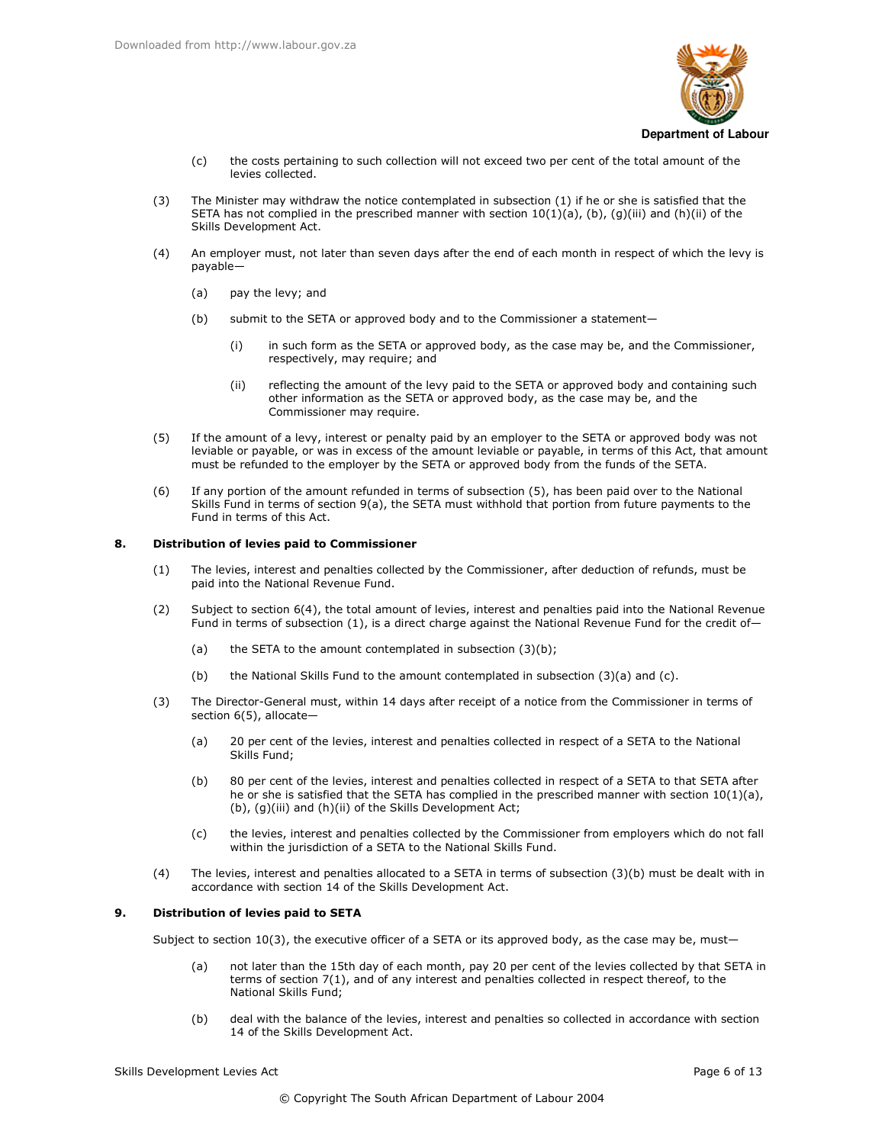

- $(c)$ the costs pertaining to such collection will not exceed two per cent of the total amount of the levies collected.
- The Minister may withdraw the notice contemplated in subsection (1) if he or she is satisfied that the  $(3)$ SETA has not complied in the prescribed manner with section  $10(1)(a)$ , (b), (g)(iii) and (h)(ii) of the Skills Development Act.
- An employer must, not later than seven days after the end of each month in respect of which the levy is  $(4)$ payable-
	- $(a)$ pay the levy; and
	- $(b)$ submit to the SETA or approved body and to the Commissioner a statement-
		- $(i)$ in such form as the SETA or approved body, as the case may be, and the Commissioner, respectively, may require; and
		- reflecting the amount of the levy paid to the SETA or approved body and containing such  $(ii)$ other information as the SETA or approved body, as the case may be, and the Commissioner may require.
- $(5)$ If the amount of a levy, interest or penalty paid by an employer to the SETA or approved body was not leviable or payable, or was in excess of the amount leviable or payable, in terms of this Act, that amount must be refunded to the employer by the SETA or approved body from the funds of the SETA.
- If any portion of the amount refunded in terms of subsection (5), has been paid over to the National  $(6)$ Skills Fund in terms of section 9(a), the SETA must withhold that portion from future payments to the Fund in terms of this Act

#### 8. Distribution of levies paid to Commissioner

- The levies, interest and penalties collected by the Commissioner, after deduction of refunds, must be  $(1)$ paid into the National Revenue Fund.
- Subject to section 6(4), the total amount of levies, interest and penalties paid into the National Revenue  $(2)$ Fund in terms of subsection (1), is a direct charge against the National Revenue Fund for the credit of-
	- $(a)$ the SETA to the amount contemplated in subsection (3)(b);
	- $(b)$ the National Skills Fund to the amount contemplated in subsection (3)(a) and (c).
- $(3)$ The Director-General must, within 14 days after receipt of a notice from the Commissioner in terms of section 6(5), allocate-
	- $(a)$ 20 per cent of the levies, interest and penalties collected in respect of a SETA to the National Skills Fund;
	- 80 per cent of the levies, interest and penalties collected in respect of a SETA to that SETA after  $(b)$ he or she is satisfied that the SETA has complied in the prescribed manner with section  $10(1)(a)$ , (b), (g)(iii) and (h)(ii) of the Skills Development Act;
	- the levies, interest and penalties collected by the Commissioner from employers which do not fall  $(c)$ within the jurisdiction of a SETA to the National Skills Fund.
- The levies, interest and penalties allocated to a SETA in terms of subsection (3)(b) must be dealt with in  $(4)$ accordance with section 14 of the Skills Development Act.

#### $\mathbf{q}$ . Distribution of levies paid to SETA

Subject to section 10(3), the executive officer of a SETA or its approved body, as the case may be, must-

- not later than the 15th day of each month, pay 20 per cent of the levies collected by that SETA in  $(a)$ terms of section 7(1), and of any interest and penalties collected in respect thereof, to the National Skills Fund;
- $(b)$ deal with the balance of the levies, interest and penalties so collected in accordance with section 14 of the Skills Development Act.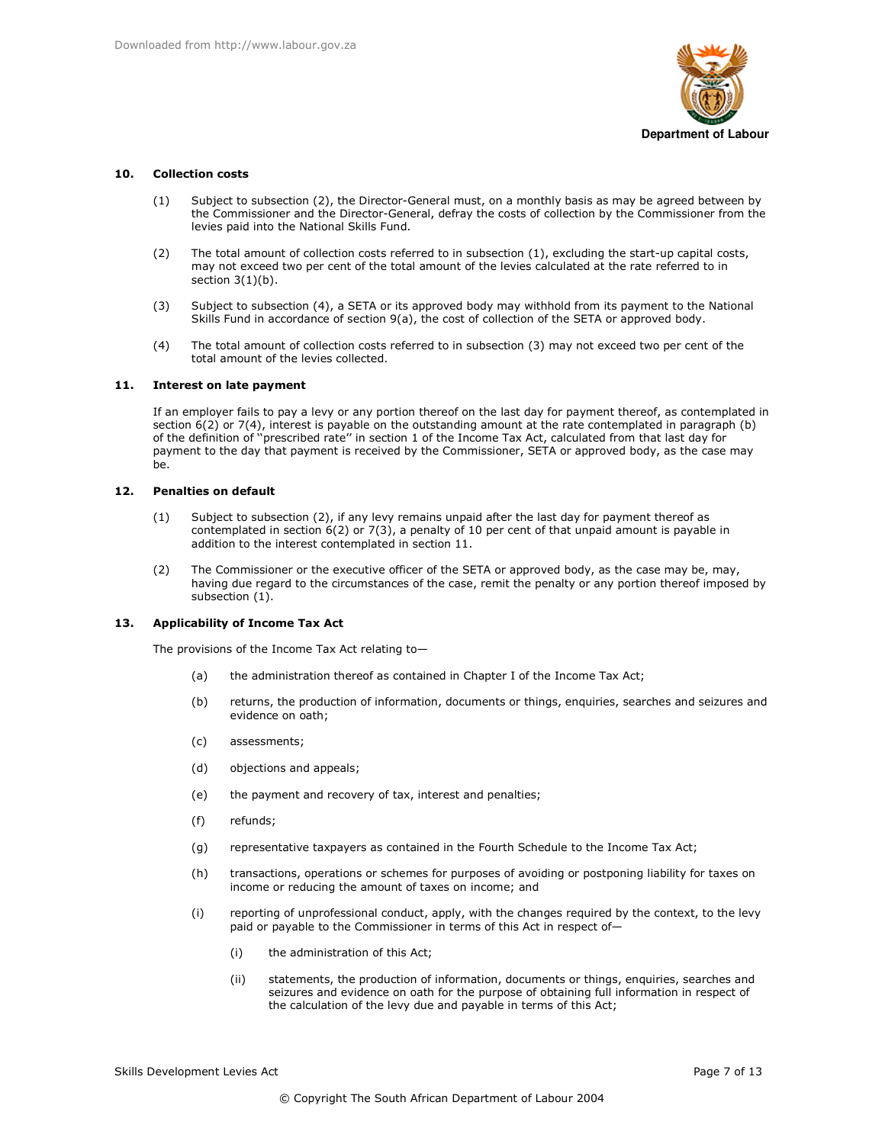

#### $10<sub>1</sub>$ **Collection costs**

- Subject to subsection (2), the Director-General must, on a monthly basis as may be agreed between by  $(1)$ the Commissioner and the Director-General, defray the costs of collection by the Commissioner from the levies paid into the National Skills Fund.
- The total amount of collection costs referred to in subsection (1), excluding the start-up capital costs,  $(2)$ may not exceed two per cent of the total amount of the levies calculated at the rate referred to in section  $3(1)(b)$ .
- $(3)$ Subject to subsection (4), a SETA or its approved body may withhold from its payment to the National Skills Fund in accordance of section 9(a), the cost of collection of the SETA or approved body.
- $(4)$ The total amount of collection costs referred to in subsection (3) may not exceed two per cent of the total amount of the levies collected.

#### **Interest on late payment** 11.

If an employer fails to pay a levy or any portion thereof on the last day for payment thereof, as contemplated in section 6(2) or 7(4), interest is payable on the outstanding amount at the rate contemplated in paragraph (b) of the definition of "prescribed rate" in section 1 of the Income Tax Act, calculated from that last day for payment to the day that payment is received by the Commissioner, SETA or approved body, as the case may be.

#### $12<sub>1</sub>$ **Penalties on default**

- Subject to subsection (2), if any levy remains unpaid after the last day for payment thereof as  $(1)$ contemplated in section  $6(2)$  or  $7(3)$ , a penalty of 10 per cent of that unpaid amount is payable in addition to the interest contemplated in section 11.
- The Commissioner or the executive officer of the SETA or approved body, as the case may be, may,  $(2)$ having due regard to the circumstances of the case, remit the penalty or any portion thereof imposed by subsection (1).

#### 13. **Applicability of Income Tax Act**

The provisions of the Income Tax Act relating to-

- the administration thereof as contained in Chapter I of the Income Tax Act;  $(a)$
- $(b)$ returns, the production of information, documents or things, enquiries, searches and seizures and evidence on oath;
- $(c)$ assessments:
- $(d)$ objections and appeals;
- $(e)$ the payment and recovery of tax, interest and penalties;
- $(f)$ refunds;
- representative taxpayers as contained in the Fourth Schedule to the Income Tax Act;  $(a)$
- $(h)$ transactions, operations or schemes for purposes of avoiding or postponing liability for taxes on income or reducing the amount of taxes on income; and
- $(i)$ reporting of unprofessional conduct, apply, with the changes required by the context, to the levy paid or payable to the Commissioner in terms of this Act in respect of-
	- $(i)$ the administration of this Act;
	- statements, the production of information, documents or things, enquiries, searches and  $(ii)$ seizures and evidence on oath for the purpose of obtaining full information in respect of the calculation of the levy due and payable in terms of this Act;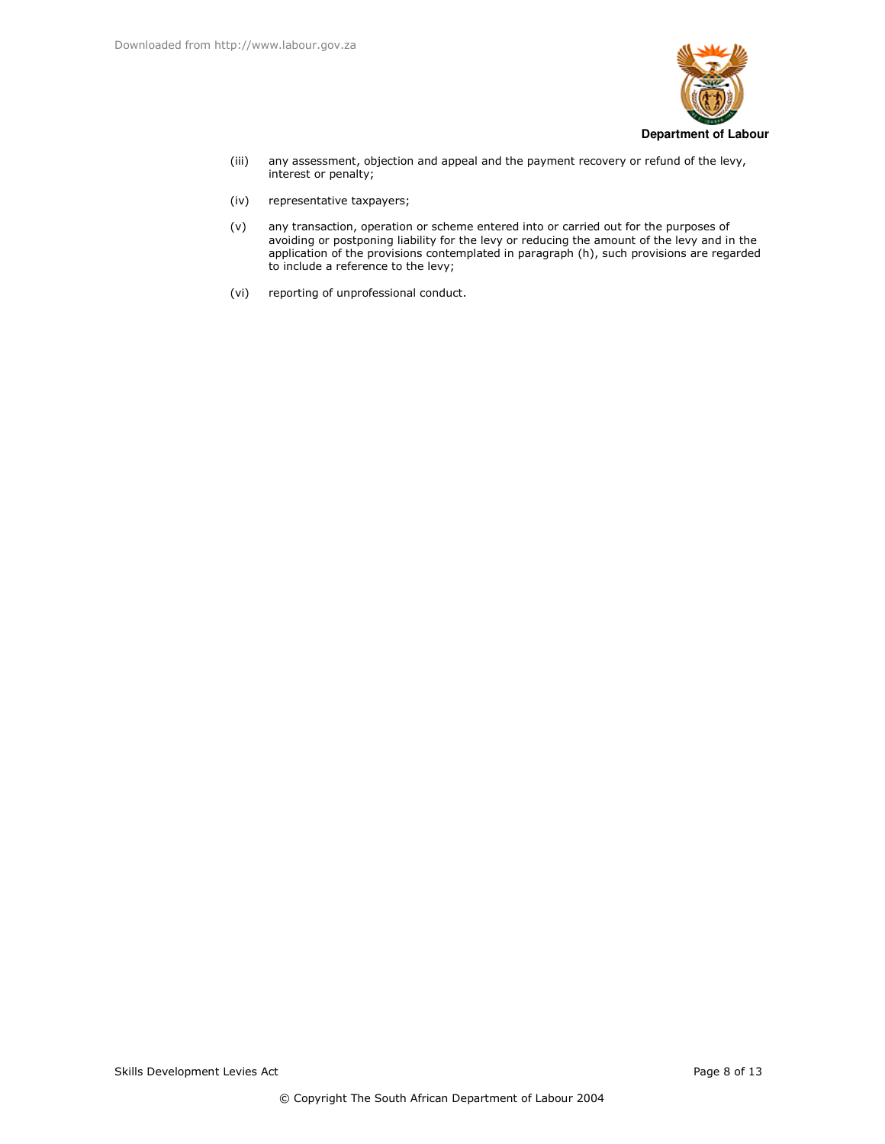

- $(iii)$ any assessment, objection and appeal and the payment recovery or refund of the levy, interest or penalty;
- $(iv)$ representative taxpayers;
- $(v)$ any transaction, operation or scheme entered into or carried out for the purposes of avoiding or postponing liability for the levy or reducing the amount of the levy and in the application of the provisions contemplated in paragraph (h), such provisions are regarded to include a reference to the levy;
- $(vi)$ reporting of unprofessional conduct.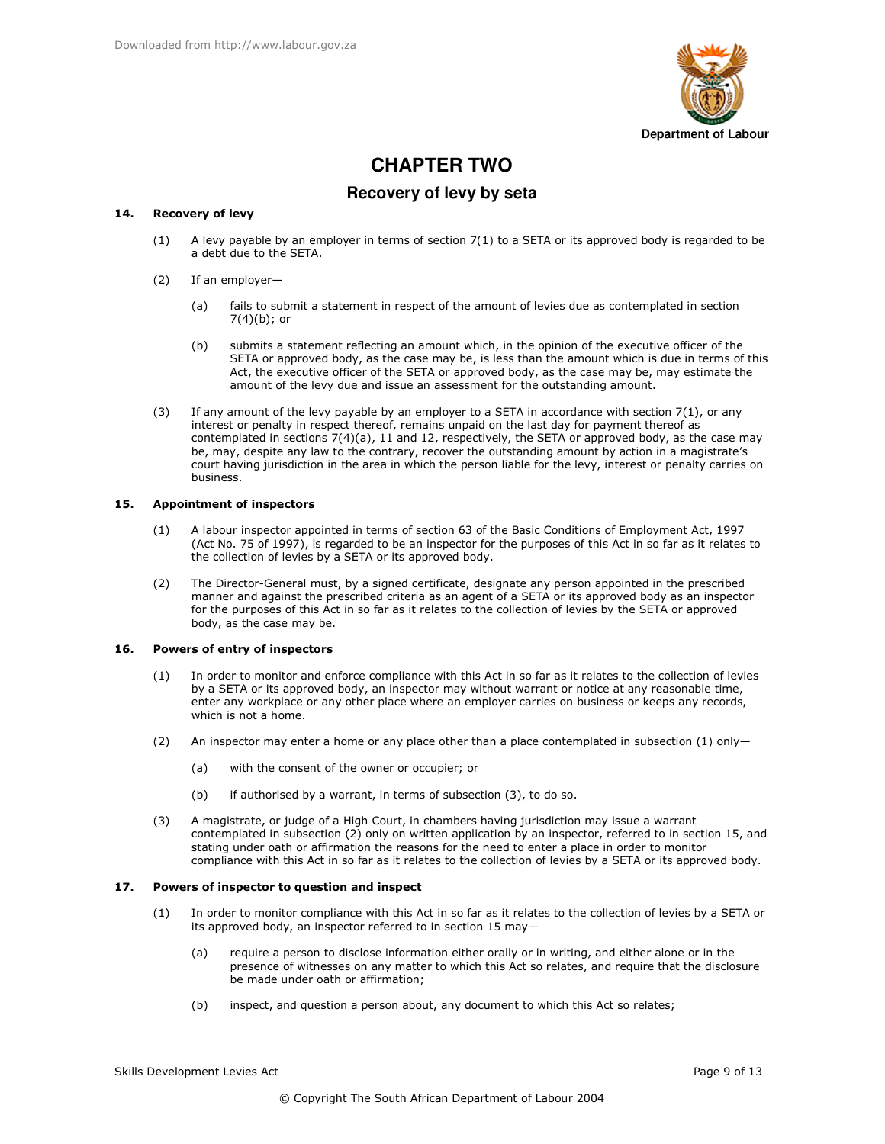

# **CHAPTER TWO**

## Recovery of levy by seta

#### 14. **Recovery of levy**

- A levy payable by an employer in terms of section 7(1) to a SETA or its approved body is regarded to be  $(1)$ a debt due to the SETA.
- $(2)$ If an employer
	- fails to submit a statement in respect of the amount of levies due as contemplated in section  $(a)$  $7(4)(b)$ ; or
	- submits a statement reflecting an amount which, in the opinion of the executive officer of the  $(b)$ SETA or approved body, as the case may be, is less than the amount which is due in terms of this Act, the executive officer of the SETA or approved body, as the case may be, may estimate the amount of the levy due and issue an assessment for the outstanding amount.
- If any amount of the levy payable by an employer to a SETA in accordance with section  $7(1)$ , or any  $(3)$ interest or penalty in respect thereof, remains unpaid on the last day for payment thereof as contemplated in sections 7(4)(a), 11 and 12, respectively, the SETA or approved body, as the case may be, may, despite any law to the contrary, recover the outstanding amount by action in a magistrate's court having jurisdiction in the area in which the person liable for the levy, interest or penalty carries on business.

#### $15.$ **Appointment of inspectors**

- $(1)$ A labour inspector appointed in terms of section 63 of the Basic Conditions of Employment Act, 1997 (Act No. 75 of 1997), is regarded to be an inspector for the purposes of this Act in so far as it relates to the collection of levies by a SETA or its approved body.
- $(2)$ The Director-General must, by a signed certificate, designate any person appointed in the prescribed manner and against the prescribed criteria as an agent of a SETA or its approved body as an inspector for the purposes of this Act in so far as it relates to the collection of levies by the SETA or approved body, as the case may be.

#### 16. Powers of entry of inspectors

- In order to monitor and enforce compliance with this Act in so far as it relates to the collection of levies  $(1)$ by a SETA or its approved body, an inspector may without warrant or notice at any reasonable time, enter any workplace or any other place where an employer carries on business or keeps any records, which is not a home.
- An inspector may enter a home or any place other than a place contemplated in subsection  $(1)$  only- $(2)$ 
	- with the consent of the owner or occupier; or  $(a)$
	- if authorised by a warrant, in terms of subsection (3), to do so.  $(b)$
- $(3)$ A magistrate, or judge of a High Court, in chambers having jurisdiction may issue a warrant contemplated in subsection (2) only on written application by an inspector, referred to in section 15, and stating under oath or affirmation the reasons for the need to enter a place in order to monitor compliance with this Act in so far as it relates to the collection of levies by a SETA or its approved body.

#### $17.$ Powers of inspector to question and inspect

- $(1)$ In order to monitor compliance with this Act in so far as it relates to the collection of levies by a SETA or its approved body, an inspector referred to in section 15 may
	- require a person to disclose information either orally or in writing, and either alone or in the  $(a)$ presence of witnesses on any matter to which this Act so relates, and require that the disclosure be made under oath or affirmation;
	- $(b)$ inspect, and question a person about, any document to which this Act so relates;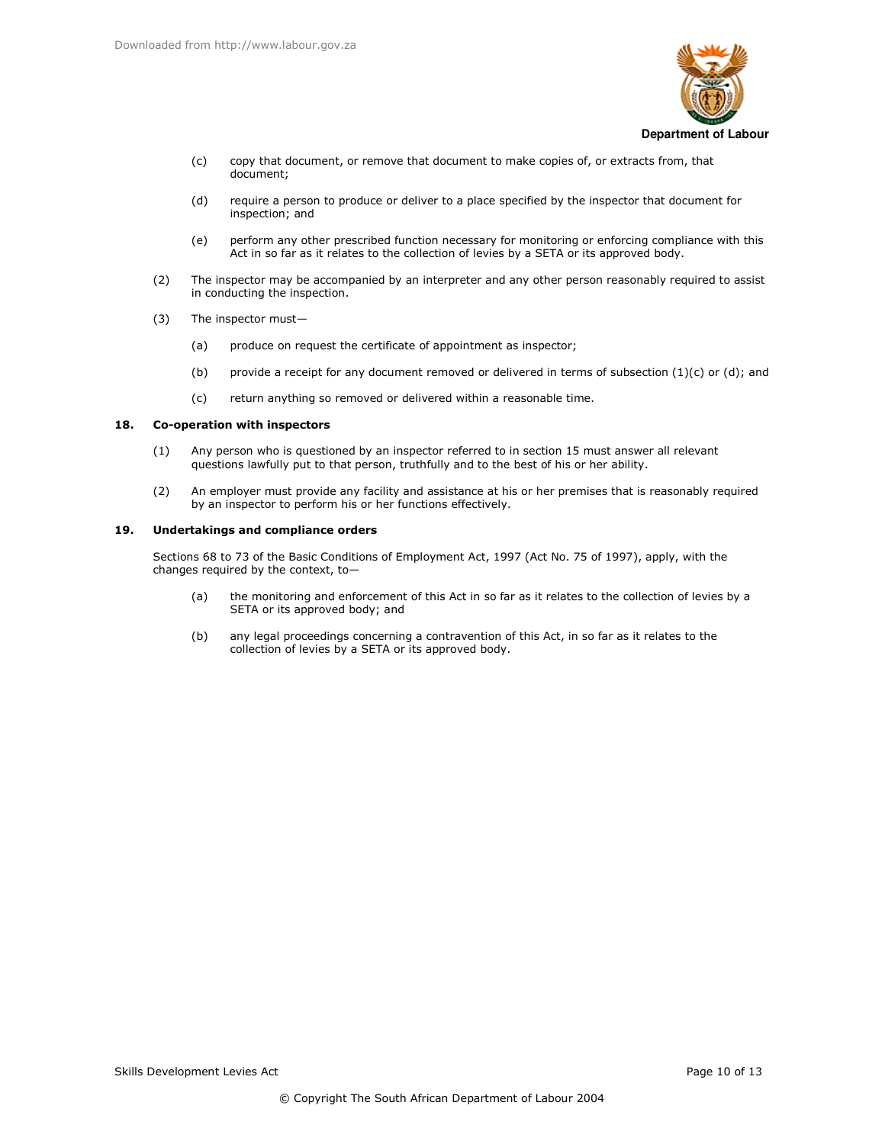

- copy that document, or remove that document to make copies of, or extracts from, that  $(c)$ document;
- $(d)$ require a person to produce or deliver to a place specified by the inspector that document for inspection; and
- $(e)$ perform any other prescribed function necessary for monitoring or enforcing compliance with this Act in so far as it relates to the collection of levies by a SETA or its approved body.
- The inspector may be accompanied by an interpreter and any other person reasonably required to assist  $(2)$ in conducting the inspection.
- $(3)$ The inspector must
	- produce on request the certificate of appointment as inspector;  $(a)$
	- provide a receipt for any document removed or delivered in terms of subsection  $(1)(c)$  or  $(d)$ ; and  $(b)$
	- $(c)$ return anything so removed or delivered within a reasonable time.

#### 18. Co-operation with inspectors

- Any person who is questioned by an inspector referred to in section 15 must answer all relevant  $(1)$ questions lawfully put to that person, truthfully and to the best of his or her ability.
- An employer must provide any facility and assistance at his or her premises that is reasonably required  $(2)$ by an inspector to perform his or her functions effectively.

#### 19. **Undertakings and compliance orders**

Sections 68 to 73 of the Basic Conditions of Employment Act, 1997 (Act No. 75 of 1997), apply, with the changes required by the context, to-

- the monitoring and enforcement of this Act in so far as it relates to the collection of levies by a  $(a)$ SETA or its approved body; and
- $(b)$ any legal proceedings concerning a contravention of this Act, in so far as it relates to the collection of levies by a SETA or its approved body.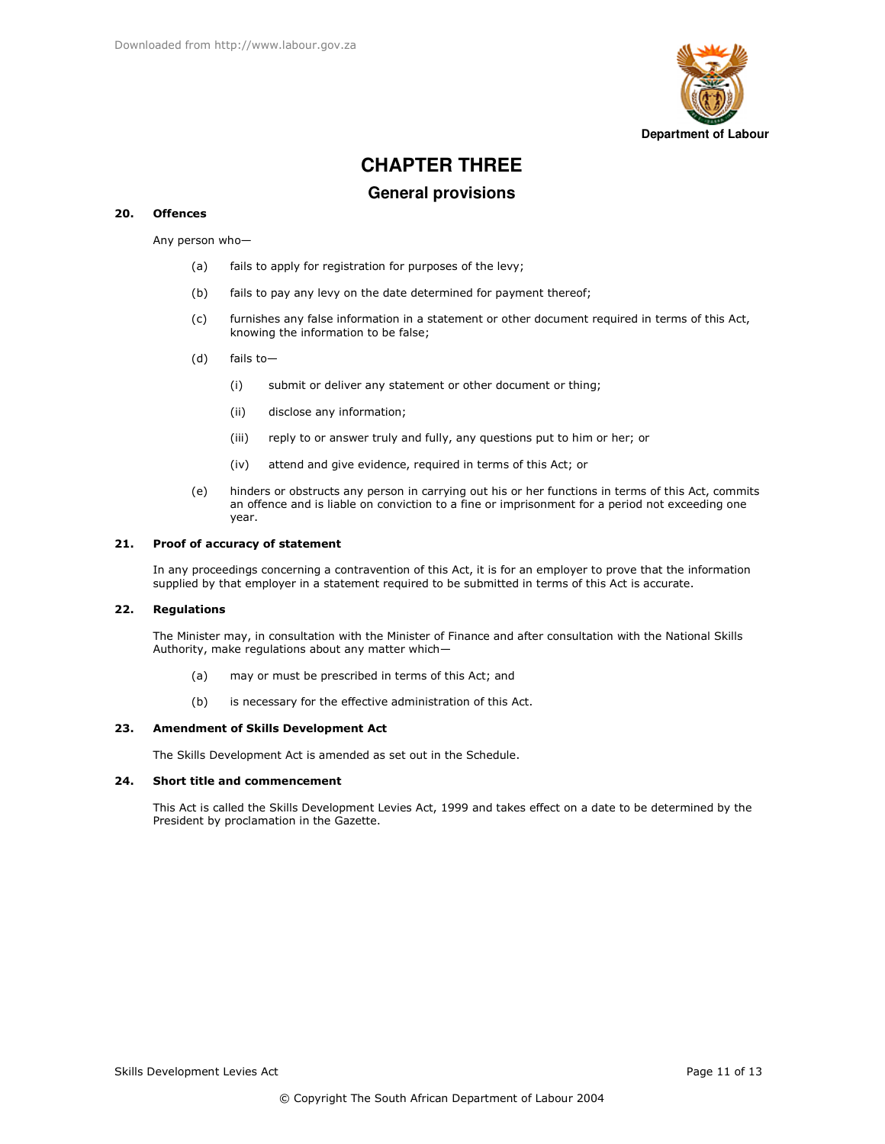

# **CHAPTER THREE**

## **General provisions**

#### 20. **Offences**

Any person who-

- fails to apply for registration for purposes of the levy;  $(a)$
- $(b)$ fails to pay any levy on the date determined for payment thereof;
- $(c)$ furnishes any false information in a statement or other document required in terms of this Act, knowing the information to be false;
- $(d)$ fails to-
	- $(i)$ submit or deliver any statement or other document or thing;
	- $(ii)$ disclose any information;
	- $(iii)$ reply to or answer truly and fully, any questions put to him or her; or
	- $(iv)$ attend and give evidence, required in terms of this Act; or
- $(e)$ hinders or obstructs any person in carrying out his or her functions in terms of this Act, commits an offence and is liable on conviction to a fine or imprisonment for a period not exceeding one vear.

#### $21.$ Proof of accuracy of statement

In any proceedings concerning a contravention of this Act, it is for an employer to prove that the information supplied by that employer in a statement required to be submitted in terms of this Act is accurate.

#### 22. **Regulations**

The Minister may, in consultation with the Minister of Finance and after consultation with the National Skills Authority, make regulations about any matter which-

- may or must be prescribed in terms of this Act; and  $(a)$
- is necessary for the effective administration of this Act.  $(b)$

#### 23. **Amendment of Skills Development Act**

The Skills Development Act is amended as set out in the Schedule.

#### 24. Short title and commencement

This Act is called the Skills Development Levies Act, 1999 and takes effect on a date to be determined by the President by proclamation in the Gazette.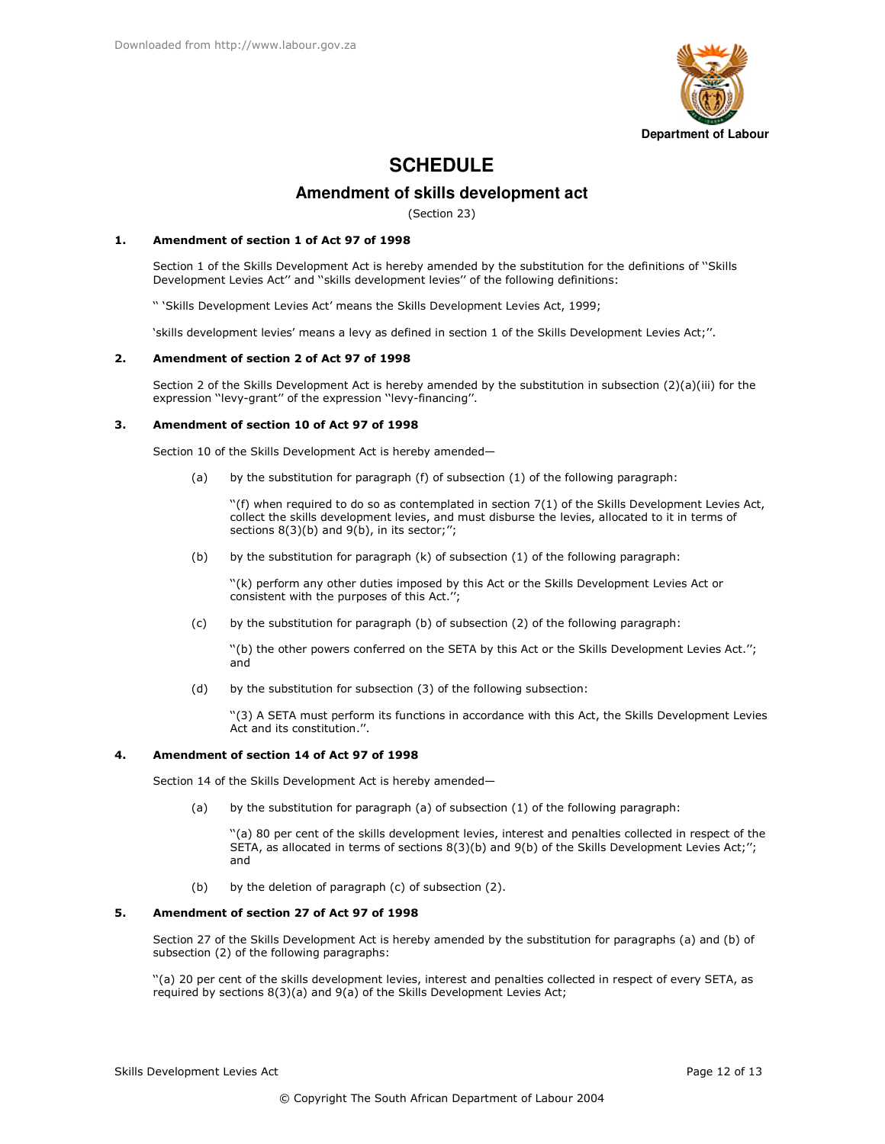

# **SCHEDULE**

## Amendment of skills development act

(Section 23)

#### $\mathbf{1}$ . Amendment of section 1 of Act 97 of 1998

Section 1 of the Skills Development Act is hereby amended by the substitution for the definitions of "Skills Development Levies Act" and "skills development levies" of the following definitions:

" 'Skills Development Levies Act' means the Skills Development Levies Act, 1999;

'skills development levies' means a levy as defined in section 1 of the Skills Development Levies Act;".

#### $2.$ Amendment of section 2 of Act 97 of 1998

Section 2 of the Skills Development Act is hereby amended by the substitution in subsection (2)(a)(iii) for the expression "levy-grant" of the expression "levy-financing".

#### $3.$ Amendment of section 10 of Act 97 of 1998

Section 10 of the Skills Development Act is hereby amended-

by the substitution for paragraph (f) of subsection (1) of the following paragraph:  $(a)$ 

"(f) when required to do so as contemplated in section 7(1) of the Skills Development Levies Act. collect the skills development levies, and must disburse the levies, allocated to it in terms of sections  $8(3)(b)$  and  $9(b)$ , in its sector;";

 $(b)$ by the substitution for paragraph (k) of subsection (1) of the following paragraph:

"(k) perform any other duties imposed by this Act or the Skills Development Levies Act or consistent with the purposes of this Act.";

by the substitution for paragraph (b) of subsection (2) of the following paragraph:  $(c)$ 

"(b) the other powers conferred on the SETA by this Act or the Skills Development Levies Act."; and

 $(d)$ by the substitution for subsection (3) of the following subsection:

"(3) A SETA must perform its functions in accordance with this Act, the Skills Development Levies Act and its constitution.".

#### Amendment of section 14 of Act 97 of 1998 4.

Section 14 of the Skills Development Act is hereby amended-

 $(a)$ by the substitution for paragraph (a) of subsection (1) of the following paragraph:

"(a) 80 per cent of the skills development levies, interest and penalties collected in respect of the SETA, as allocated in terms of sections 8(3)(b) and 9(b) of the Skills Development Levies Act;"; and

 $(b)$ by the deletion of paragraph (c) of subsection (2).

#### 5. Amendment of section 27 of Act 97 of 1998

Section 27 of the Skills Development Act is hereby amended by the substitution for paragraphs (a) and (b) of subsection (2) of the following paragraphs:

"(a) 20 per cent of the skills development levies, interest and penalties collected in respect of every SETA, as required by sections 8(3)(a) and 9(a) of the Skills Development Levies Act;